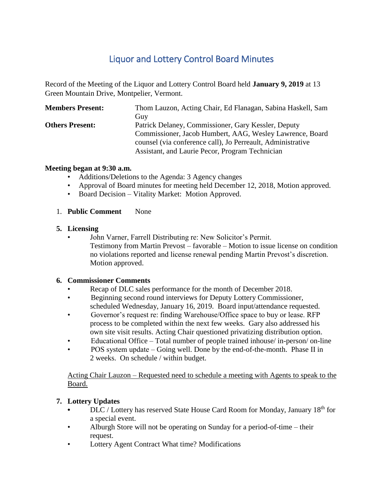# Liquor and Lottery Control Board Minutes

Record of the Meeting of the Liquor and Lottery Control Board held **January 9, 2019** at 13 Green Mountain Drive, Montpelier, Vermont.

| <b>Members Present:</b> | Thom Lauzon, Acting Chair, Ed Flanagan, Sabina Haskell, Sam |
|-------------------------|-------------------------------------------------------------|
|                         | Guy                                                         |
| <b>Others Present:</b>  | Patrick Delaney, Commissioner, Gary Kessler, Deputy         |
|                         | Commissioner, Jacob Humbert, AAG, Wesley Lawrence, Board    |
|                         | counsel (via conference call), Jo Perreault, Administrative |
|                         | Assistant, and Laurie Pecor, Program Technician             |

## **Meeting began at 9:30 a.m.**

- Additions/Deletions to the Agenda: 3 Agency changes
- Approval of Board minutes for meeting held December 12, 2018, Motion approved.
- Board Decision Vitality Market: Motion Approved.

#### 1. **Public Comment** None

#### **5. Licensing**

• John Varner, Farrell Distributing re: New Solicitor's Permit. Testimony from Martin Prevost – favorable – Motion to issue license on condition no violations reported and license renewal pending Martin Prevost's discretion. Motion approved.

## **6. Commissioner Comments**

- Recap of DLC sales performance for the month of December 2018.
- Beginning second round interviews for Deputy Lottery Commissioner, scheduled Wednesday, January 16, 2019. Board input/attendance requested.
- Governor's request re: finding Warehouse/Office space to buy or lease. RFP process to be completed within the next few weeks. Gary also addressed his own site visit results. Acting Chair questioned privatizing distribution option.
- Educational Office Total number of people trained inhouse/ in-person/ on-line
- POS system update Going well. Done by the end-of-the-month. Phase II in 2 weeks. On schedule / within budget.

Acting Chair Lauzon – Requested need to schedule a meeting with Agents to speak to the Board.

## **7. Lottery Updates**

- **•** DLC / Lottery has reserved State House Card Room for Monday, January 18th for a special event.
- **Alburgh Store will not be operating on Sunday for a period-of-time their** request.
- Lottery Agent Contract What time? Modifications